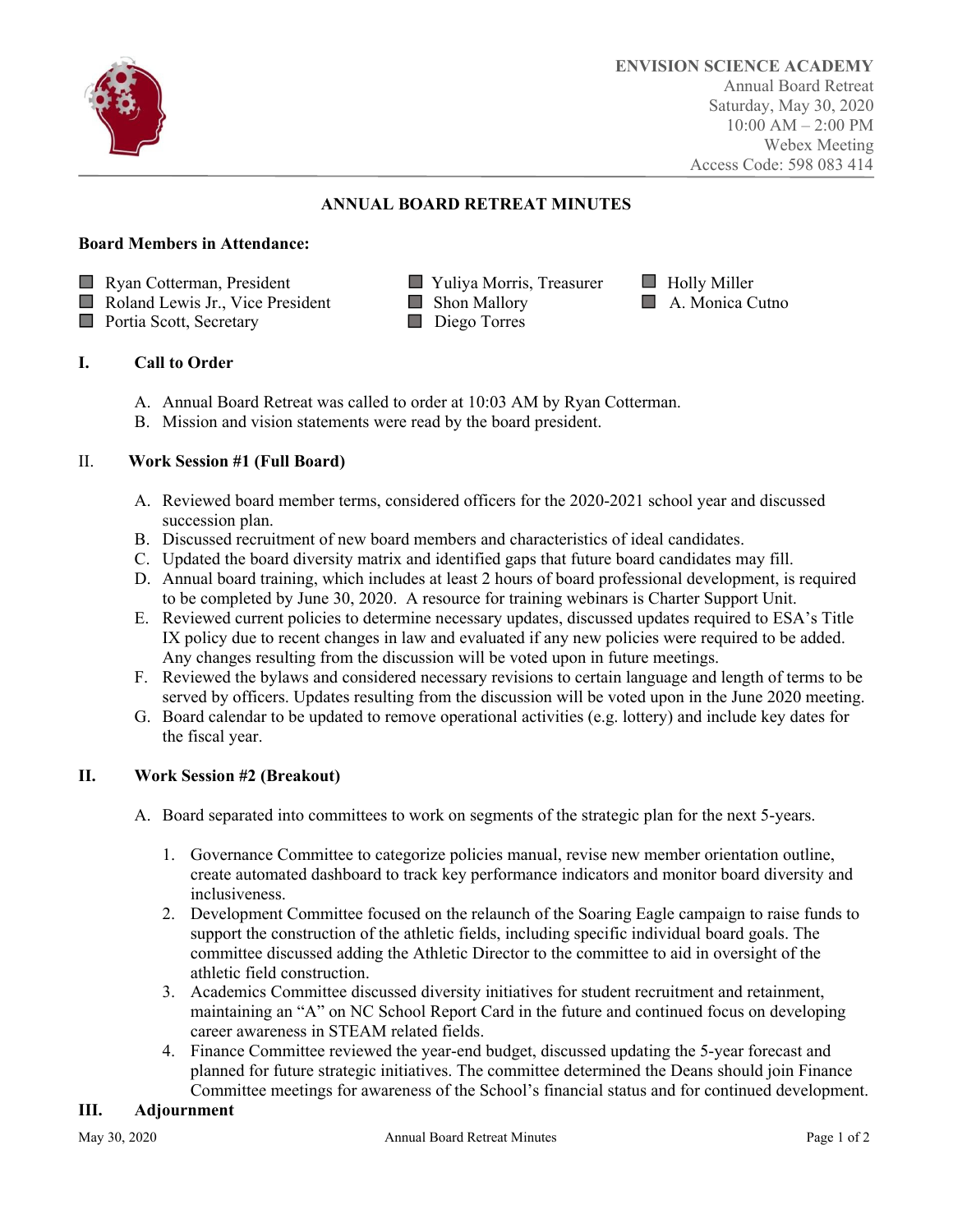

# **ANNUAL BOARD RETREAT MINUTES**

### **Board Members in Attendance:**

- **Ryan Cotterman, President Transferred Willer** Yuliya Morris, Treasurer **Holly Miller**
- Roland Lewis Jr., Vice President Shon Mallory **Shon Mallory** A. Monica Cutno
- **Portia Scott, Secretary Property** Diego Torres
- 
- -

## **I. Call to Order**

- A. Annual Board Retreat was called to order at 10:03 AM by Ryan Cotterman.
- B. Mission and vision statements were read by the board president.

## II. **Work Session #1 (Full Board)**

- A. Reviewed board member terms, considered officers for the 2020-2021 school year and discussed succession plan.
- B. Discussed recruitment of new board members and characteristics of ideal candidates.
- C. Updated the board diversity matrix and identified gaps that future board candidates may fill.
- D. Annual board training, which includes at least 2 hours of board professional development, is required to be completed by June 30, 2020. A resource for training webinars is Charter Support Unit.
- E. Reviewed current policies to determine necessary updates, discussed updates required to ESA's Title IX policy due to recent changes in law and evaluated if any new policies were required to be added. Any changes resulting from the discussion will be voted upon in future meetings.
- F. Reviewed the bylaws and considered necessary revisions to certain language and length of terms to be served by officers. Updates resulting from the discussion will be voted upon in the June 2020 meeting.
- G. Board calendar to be updated to remove operational activities (e.g. lottery) and include key dates for the fiscal year.

## **II. Work Session #2 (Breakout)**

- A. Board separated into committees to work on segments of the strategic plan for the next 5-years.
	- 1. Governance Committee to categorize policies manual, revise new member orientation outline, create automated dashboard to track key performance indicators and monitor board diversity and inclusiveness.
	- 2. Development Committee focused on the relaunch of the Soaring Eagle campaign to raise funds to support the construction of the athletic fields, including specific individual board goals. The committee discussed adding the Athletic Director to the committee to aid in oversight of the athletic field construction.
	- 3. Academics Committee discussed diversity initiatives for student recruitment and retainment, maintaining an "A" on NC School Report Card in the future and continued focus on developing career awareness in STEAM related fields.
	- 4. Finance Committee reviewed the year-end budget, discussed updating the 5-year forecast and planned for future strategic initiatives. The committee determined the Deans should join Finance Committee meetings for awareness of the School's financial status and for continued development.

## **III. Adjournment**